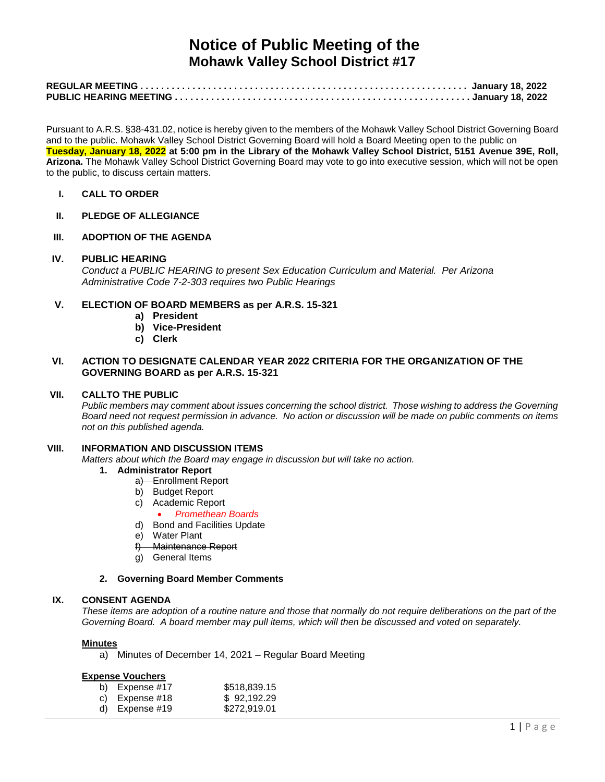# **Notice of Public Meeting of the Mohawk Valley School District #17**

Pursuant to A.R.S. §38-431.02, notice is hereby given to the members of the Mohawk Valley School District Governing Board and to the public. Mohawk Valley School District Governing Board will hold a Board Meeting open to the public on **Tuesday, January 18, 2022 at 5:00 pm in the Library of the Mohawk Valley School District, 5151 Avenue 39E, Roll, Arizona.** The Mohawk Valley School District Governing Board may vote to go into executive session, which will not be open to the public, to discuss certain matters.

- **I. CALL TO ORDER**
- **II. PLEDGE OF ALLEGIANCE**
- **III. ADOPTION OF THE AGENDA**

#### **IV. PUBLIC HEARING**

*Conduct a PUBLIC HEARING to present Sex Education Curriculum and Material. Per Arizona Administrative Code 7-2-303 requires two Public Hearings*

## **V. ELECTION OF BOARD MEMBERS as per A.R.S. 15-321**

- **a) President**
- **b) Vice-President**
- **c) Clerk**

## **VI. ACTION TO DESIGNATE CALENDAR YEAR 2022 CRITERIA FOR THE ORGANIZATION OF THE GOVERNING BOARD as per A.R.S. 15-321**

## **VII. CALLTO THE PUBLIC**

*Public members may comment about issues concerning the school district. Those wishing to address the Governing Board need not request permission in advance. No action or discussion will be made on public comments on items not on this published agenda.*

#### **VIII. INFORMATION AND DISCUSSION ITEMS**

*Matters about which the Board may engage in discussion but will take no action.* 

- **1. Administrator Report**
	- a) Enrollment Report
	- b) Budget Report
	- c) Academic Report
		- *Promethean Boards*
	- d) Bond and Facilities Update
	- e) Water Plant
	- f) Maintenance Report
	- g) General Items

#### **2. Governing Board Member Comments**

#### **IX. CONSENT AGENDA**

*These items are adoption of a routine nature and those that normally do not require deliberations on the part of the Governing Board. A board member may pull items, which will then be discussed and voted on separately.*

#### **Minutes**

a) Minutes of December 14, 2021 – Regular Board Meeting

#### **Expense Vouchers**

| b) Expense #17   | \$518,839.15 |
|------------------|--------------|
| c) Expense $#18$ | \$92,192.29  |
| d) Expense $#19$ | \$272,919.01 |